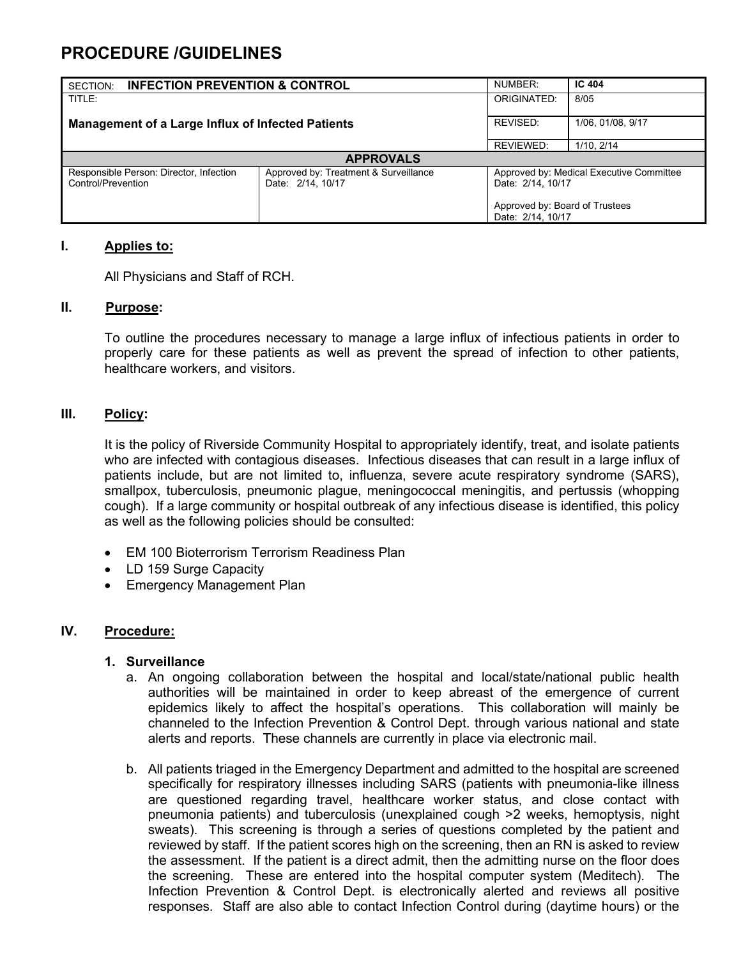# **PROCEDURE /GUIDELINES**

| <b>INFECTION PREVENTION &amp; CONTROL</b><br>SECTION:              |                                       | NUMBER:                                                                                         | IC 404            |
|--------------------------------------------------------------------|---------------------------------------|-------------------------------------------------------------------------------------------------|-------------------|
| TITLE:<br><b>Management of a Large Influx of Infected Patients</b> |                                       | ORIGINATED:                                                                                     | 8/05              |
|                                                                    |                                       | REVISED:                                                                                        | 1/06, 01/08, 9/17 |
|                                                                    |                                       | REVIEWED:                                                                                       | 1/10.2/14         |
| <b>APPROVALS</b>                                                   |                                       |                                                                                                 |                   |
| Responsible Person: Director, Infection                            | Approved by: Treatment & Surveillance | Approved by: Medical Executive Committee<br>Date: 2/14, 10/17<br>Approved by: Board of Trustees |                   |
| Control/Prevention                                                 | Date: 2/14, 10/17                     |                                                                                                 |                   |
|                                                                    |                                       |                                                                                                 |                   |
|                                                                    |                                       | Date: 2/14, 10/17                                                                               |                   |

### **I. Applies to:**

All Physicians and Staff of RCH.

#### **II. Purpose:**

To outline the procedures necessary to manage a large influx of infectious patients in order to properly care for these patients as well as prevent the spread of infection to other patients, healthcare workers, and visitors.

### **III. Policy:**

It is the policy of Riverside Community Hospital to appropriately identify, treat, and isolate patients who are infected with contagious diseases. Infectious diseases that can result in a large influx of patients include, but are not limited to, influenza, severe acute respiratory syndrome (SARS), smallpox, tuberculosis, pneumonic plague, meningococcal meningitis, and pertussis (whopping cough). If a large community or hospital outbreak of any infectious disease is identified, this policy as well as the following policies should be consulted:

- EM 100 Bioterrorism Terrorism Readiness Plan
- LD 159 Surge Capacity
- Emergency Management Plan

### **IV. Procedure:**

### **1. Surveillance**

- a. An ongoing collaboration between the hospital and local/state/national public health authorities will be maintained in order to keep abreast of the emergence of current epidemics likely to affect the hospital's operations. This collaboration will mainly be channeled to the Infection Prevention & Control Dept. through various national and state alerts and reports. These channels are currently in place via electronic mail.
- b. All patients triaged in the Emergency Department and admitted to the hospital are screened specifically for respiratory illnesses including SARS (patients with pneumonia-like illness are questioned regarding travel, healthcare worker status, and close contact with pneumonia patients) and tuberculosis (unexplained cough >2 weeks, hemoptysis, night sweats). This screening is through a series of questions completed by the patient and reviewed by staff. If the patient scores high on the screening, then an RN is asked to review the assessment. If the patient is a direct admit, then the admitting nurse on the floor does the screening. These are entered into the hospital computer system (Meditech). The Infection Prevention & Control Dept. is electronically alerted and reviews all positive responses. Staff are also able to contact Infection Control during (daytime hours) or the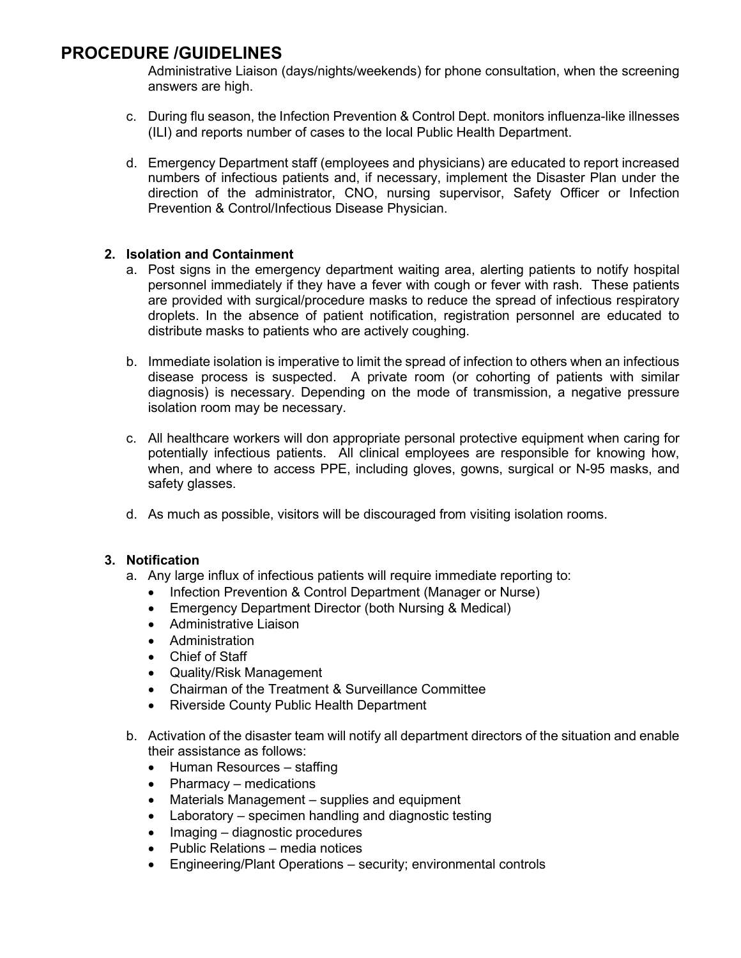## **PROCEDURE /GUIDELINES**

Administrative Liaison (days/nights/weekends) for phone consultation, when the screening answers are high.

- c. During flu season, the Infection Prevention & Control Dept. monitors influenza-like illnesses (ILI) and reports number of cases to the local Public Health Department.
- d. Emergency Department staff (employees and physicians) are educated to report increased numbers of infectious patients and, if necessary, implement the Disaster Plan under the direction of the administrator, CNO, nursing supervisor, Safety Officer or Infection Prevention & Control/Infectious Disease Physician.

### **2. Isolation and Containment**

- a. Post signs in the emergency department waiting area, alerting patients to notify hospital personnel immediately if they have a fever with cough or fever with rash. These patients are provided with surgical/procedure masks to reduce the spread of infectious respiratory droplets. In the absence of patient notification, registration personnel are educated to distribute masks to patients who are actively coughing.
- b. Immediate isolation is imperative to limit the spread of infection to others when an infectious disease process is suspected. A private room (or cohorting of patients with similar diagnosis) is necessary. Depending on the mode of transmission, a negative pressure isolation room may be necessary.
- c. All healthcare workers will don appropriate personal protective equipment when caring for potentially infectious patients. All clinical employees are responsible for knowing how, when, and where to access PPE, including gloves, gowns, surgical or N-95 masks, and safety glasses.
- d. As much as possible, visitors will be discouraged from visiting isolation rooms.

### **3. Notification**

- a. Any large influx of infectious patients will require immediate reporting to:
	- Infection Prevention & Control Department (Manager or Nurse)
	- Emergency Department Director (both Nursing & Medical)
	- Administrative Liaison
	- Administration
	- Chief of Staff
	- Quality/Risk Management
	- Chairman of the Treatment & Surveillance Committee
	- Riverside County Public Health Department
- b. Activation of the disaster team will notify all department directors of the situation and enable their assistance as follows:
	- Human Resources staffing
	- Pharmacy medications
	- Materials Management supplies and equipment
	- Laboratory specimen handling and diagnostic testing
	- Imaging diagnostic procedures
	- Public Relations media notices
	- Engineering/Plant Operations security; environmental controls